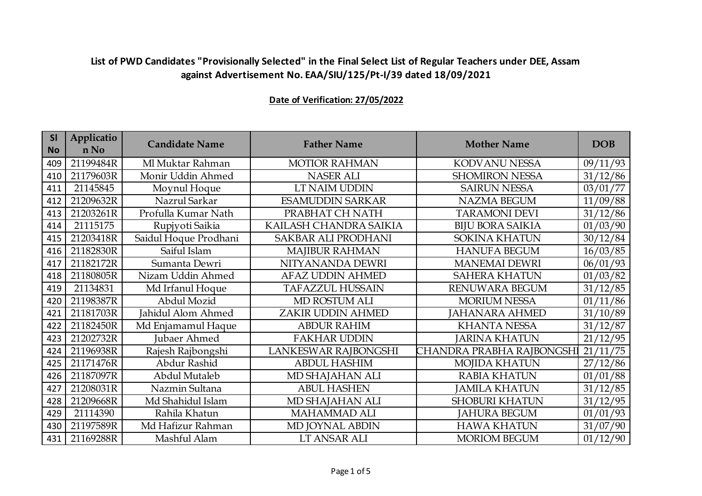| <b>SI</b><br><b>No</b> | Applicatio<br>n No | <b>Candidate Name</b> | <b>Father Name</b>         | <b>Mother Name</b>        | <b>DOB</b> |
|------------------------|--------------------|-----------------------|----------------------------|---------------------------|------------|
| 409                    | 21199484R          | Ml Muktar Rahman      | <b>MOTIOR RAHMAN</b>       | KODVANU NESSA             | 09/11/93   |
| 410                    | 21179603R          | Monir Uddin Ahmed     | <b>NASER ALI</b>           | <b>SHOMIRON NESSA</b>     | 31/12/86   |
| 411                    | 21145845           | Moynul Hoque          | LT NAIM UDDIN              | <b>SAIRUN NESSA</b>       | 03/01/77   |
| 412                    | 21209632R          | Nazrul Sarkar         | <b>ESAMUDDIN SARKAR</b>    | <b>NAZMA BEGUM</b>        | 11/09/88   |
| 413                    | 21203261R          | Profulla Kumar Nath   | PRABHAT CH NATH            | <b>TARAMONI DEVI</b>      | 31/12/86   |
| 414                    | 21115175           | Rupjyoti Saikia       | KAILASH CHANDRA SAIKIA     | <b>BIJU BORA SAIKIA</b>   | 01/03/90   |
| 415                    | 21203418R          | Saidul Hoque Prodhani | <b>SAKBAR ALI PRODHANI</b> | <b>SOKINA KHATUN</b>      | 30/12/84   |
| 416                    | 21182830R          | Saiful Islam          | <b>MAJIBUR RAHMAN</b>      | <b>HANUFA BEGUM</b>       | 16/03/85   |
| 417                    | 21182172R          | Sumanta Dewri         | NITYANANDA DEWRI           | <b>MANEMAI DEWRI</b>      | 06/01/93   |
| 418                    | 21180805R          | Nizam Uddin Ahmed     | <b>AFAZ UDDIN AHMED</b>    | <b>SAHERA KHATUN</b>      | 01/03/82   |
| 419                    | 21134831           | Md Irfanul Hoque      | <b>TAFAZZUL HUSSAIN</b>    | RENUWARA BEGUM            | 31/12/85   |
| 420                    | 21198387R          | Abdul Mozid           | MD ROSTUM ALI              | <b>MORIUM NESSA</b>       | 01/11/86   |
| 421                    | 21181703R          | Jahidul Alom Ahmed    | ZAKIR UDDIN AHMED          | JAHANARA AHMED            | 31/10/89   |
| 422                    | 21182450R          | Md Enjamamul Haque    | <b>ABDUR RAHIM</b>         | <b>KHANTA NESSA</b>       | 31/12/87   |
| 423                    | 21202732R          | <b>Jubaer Ahmed</b>   | <b>FAKHAR UDDIN</b>        | <b>JARINA KHATUN</b>      | 21/12/95   |
| 424                    | 21196938R          | Rajesh Rajbongshi     | LANKESWAR RAJBONGSHI       | CHANDRA PRABHA RAJBONGSHI | 21/11/75   |
| 425                    | 21171476R          | Abdur Rashid          | <b>ABDUL HASHIM</b>        | <b>MOJIDA KHATUN</b>      | 27/12/86   |
| 426                    | 21187097R          | Abdul Mutaleb         | MD SHAJAHAN ALI            | <b>RABIA KHATUN</b>       | 01/01/88   |
| 427                    | 21208031R          | Nazmin Sultana        | <b>ABUL HASHEN</b>         | <b>JAMILA KHATUN</b>      | 31/12/85   |
| 428                    | 21209668R          | Md Shahidul Islam     | MD SHAJAHAN ALI            | <b>SHOBURI KHATUN</b>     | 31/12/95   |
| 429                    | 21114390           | Rahila Khatun         | <b>MAHAMMAD ALI</b>        | <b>JAHURA BEGUM</b>       | 01/01/93   |
| 430                    | 21197589R          | Md Hafizur Rahman     | MD JOYNAL ABDIN            | <b>HAWA KHATUN</b>        | 31/07/90   |
| 431                    | 21169288R          | Mashful Alam          | LT ANSAR ALI               | <b>MORIOM BEGUM</b>       | 01/12/90   |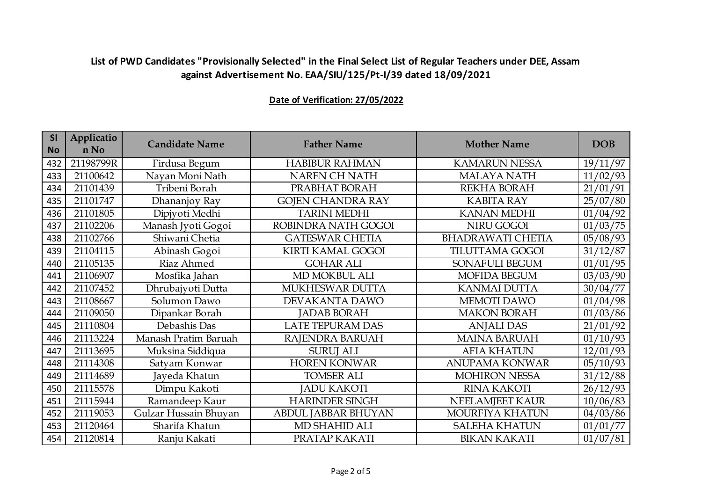| <b>SI</b><br><b>No</b> | Applicatio<br>n No | <b>Candidate Name</b> | <b>Father Name</b>         | <b>Mother Name</b>       | <b>DOB</b> |
|------------------------|--------------------|-----------------------|----------------------------|--------------------------|------------|
| 432                    | 21198799R          | Firdusa Begum         | <b>HABIBUR RAHMAN</b>      | <b>KAMARUN NESSA</b>     | 19/11/97   |
| 433                    | 21100642           | Nayan Moni Nath       | NAREN CH NATH              | <b>MALAYA NATH</b>       | 11/02/93   |
| 434                    | 21101439           | Tribeni Borah         | PRABHAT BORAH              | REKHA BORAH              | 21/01/91   |
| 435                    | 21101747           | Dhananjoy Ray         | <b>GOJEN CHANDRA RAY</b>   | <b>KABITA RAY</b>        | 25/07/80   |
| 436                    | 21101805           | Dipjyoti Medhi        | <b>TARINI MEDHI</b>        | <b>KANAN MEDHI</b>       | 01/04/92   |
| 437                    | 21102206           | Manash Jyoti Gogoi    | ROBINDRA NATH GOGOI        | NIRU GOGOI               | 01/03/75   |
| 438                    | 21102766           | Shiwani Chetia        | <b>GATESWAR CHETIA</b>     | <b>BHADRAWATI CHETIA</b> | 05/08/93   |
| 439                    | 21104115           | Abinash Gogoi         | <b>KIRTI KAMAL GOGOI</b>   | <b>TILUTTAMA GOGOI</b>   | 31/12/87   |
| 440                    | 21105135           | Riaz Ahmed            | <b>GOHAR ALI</b>           | SONAFULI BEGUM           | 01/01/95   |
| 441                    | 21106907           | Mosfika Jahan         | MD MOKBUL ALI              | <b>MOFIDA BEGUM</b>      | 03/03/90   |
| 442                    | 21107452           | Dhrubajyoti Dutta     | MUKHESWAR DUTTA            | <b>KANMAI DUTTA</b>      | 30/04/77   |
| 443                    | 21108667           | Solumon Dawo          | DEVAKANTA DAWO             | MEMOTI DAWO              | 01/04/98   |
| 444                    | 21109050           | Dipankar Borah        | <b>JADAB BORAH</b>         | <b>MAKON BORAH</b>       | 01/03/86   |
| 445                    | 21110804           | Debashis Das          | <b>LATE TEPURAM DAS</b>    | <b>ANJALI DAS</b>        | 21/01/92   |
| 446                    | 21113224           | Manash Pratim Baruah  | RAJENDRA BARUAH            | <b>MAINA BARUAH</b>      | 01/10/93   |
| 447                    | 21113695           | Muksina Siddiqua      | <b>SURUJ ALI</b>           | <b>AFIA KHATUN</b>       | 12/01/93   |
| 448                    | 21114308           | Satyam Konwar         | <b>HOREN KONWAR</b>        | <b>ANUPAMA KONWAR</b>    | 05/10/93   |
| 449                    | 21114689           | Jayeda Khatun         | <b>TOMSER ALI</b>          | <b>MOHIRON NESSA</b>     | 31/12/88   |
| 450                    | 21115578           | Dimpu Kakoti          | <b>JADU KAKOTI</b>         | <b>RINA KAKOTI</b>       | 26/12/93   |
| 451                    | 21115944           | Ramandeep Kaur        | <b>HARINDER SINGH</b>      | NEELAMJEET KAUR          | 10/06/83   |
| 452                    | 21119053           | Gulzar Hussain Bhuyan | <b>ABDUL JABBAR BHUYAN</b> | MOURFIYA KHATUN          | 04/03/86   |
| 453                    | 21120464           | Sharifa Khatun        | MD SHAHID ALI              | <b>SALEHA KHATUN</b>     | 01/01/77   |
| 454                    | 21120814           | Ranju Kakati          | PRATAP KAKATI              | <b>BIKAN KAKATI</b>      | 01/07/81   |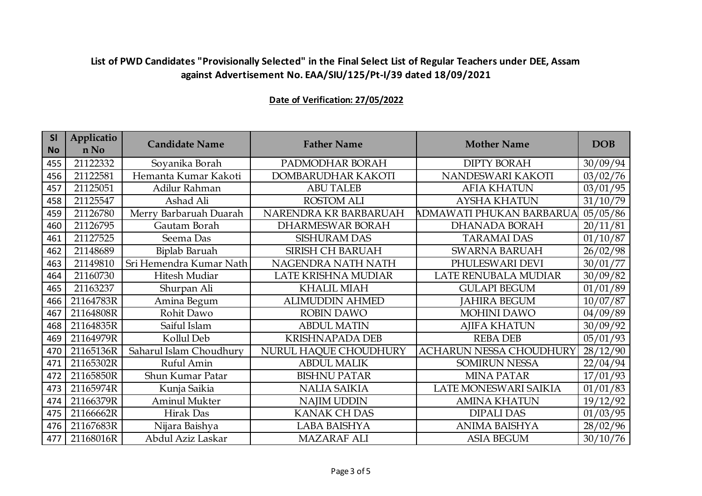| <b>SI</b><br><b>No</b> | Applicatio<br>n No | <b>Candidate Name</b>   | <b>Father Name</b>      | <b>Mother Name</b>             | <b>DOB</b> |
|------------------------|--------------------|-------------------------|-------------------------|--------------------------------|------------|
| 455                    | 21122332           | Soyanika Borah          | PADMODHAR BORAH         | <b>DIPTY BORAH</b>             | 30/09/94   |
| 456                    | 21122581           | Hemanta Kumar Kakoti    | DOMBARUDHAR KAKOTI      | NANDESWARI KAKOTI              | 03/02/76   |
| 457                    | 21125051           | Adilur Rahman           | <b>ABU TALEB</b>        | <b>AFIA KHATUN</b>             | 03/01/95   |
| 458                    | 21125547           | Ashad Ali               | <b>ROSTOM ALI</b>       | <b>AYSHA KHATUN</b>            | 31/10/79   |
| 459                    | 21126780           | Merry Barbaruah Duarah  | NARENDRA KR BARBARUAH   | ADMAWATI PHUKAN BARBARUA       | 05/05/86   |
| 460                    | 21126795           | Gautam Borah            | <b>DHARMESWAR BORAH</b> | <b>DHANADA BORAH</b>           | 20/11/81   |
| 461                    | 21127525           | Seema Das               | <b>SISHURAM DAS</b>     | <b>TARAMAI DAS</b>             | 01/10/87   |
| 462                    | 21148689           | Biplab Baruah           | SIRISH CH BARUAH        | <b>SWARNA BARUAH</b>           | 26/02/98   |
| 463                    | 21149810           | Sri Hemendra Kumar Nath | NAGENDRA NATH NATH      | PHULESWARI DEVI                | 30/01/77   |
| 464                    | 21160730           | Hitesh Mudiar           | LATE KRISHNA MUDIAR     | LATE RENUBALA MUDIAR           | 30/09/82   |
| 465                    | 21163237           | Shurpan Ali             | <b>KHALIL MIAH</b>      | <b>GULAPI BEGUM</b>            | 01/01/89   |
| 466                    | 21164783R          | Amina Begum             | <b>ALIMUDDIN AHMED</b>  | <b>JAHIRA BEGUM</b>            | 10/07/87   |
| 467                    | 21164808R          | Rohit Dawo              | <b>ROBIN DAWO</b>       | <b>MOHINI DAWO</b>             | 04/09/89   |
| 468                    | 21164835R          | Saiful Islam            | <b>ABDUL MATIN</b>      | <b>AJIFA KHATUN</b>            | 30/09/92   |
| 469                    | 21164979R          | Kollul Deb              | <b>KRISHNAPADA DEB</b>  | <b>REBADEB</b>                 | 05/01/93   |
| 470                    | 21165136R          | Saharul Islam Choudhury | NURUL HAQUE CHOUDHURY   | <b>ACHARUN NESSA CHOUDHURY</b> | 28/12/90   |
| 471                    | 21165302R          | Ruful Amin              | <b>ABDUL MALIK</b>      | <b>SOMIRUN NESSA</b>           | 22/04/94   |
| 472                    | 21165850R          | Shun Kumar Patar        | <b>BISHNU PATAR</b>     | <b>MINA PATAR</b>              | 17/01/93   |
| 473                    | 21165974R          | Kunja Saikia            | <b>NALIA SAIKIA</b>     | LATE MONESWARI SAIKIA          | 01/01/83   |
| 474                    | 21166379R          | <b>Aminul Mukter</b>    | <b>NAJIM UDDIN</b>      | <b>AMINA KHATUN</b>            | 19/12/92   |
| 475                    | 21166662R          | Hirak Das               | <b>KANAK CH DAS</b>     | <b>DIPALI DAS</b>              | 01/03/95   |
| 476                    | 21167683R          | Nijara Baishya          | <b>LABA BAISHYA</b>     | <b>ANIMA BAISHYA</b>           | 28/02/96   |
| 477                    | 21168016R          | Abdul Aziz Laskar       | <b>MAZARAF ALI</b>      | <b>ASIA BEGUM</b>              | 30/10/76   |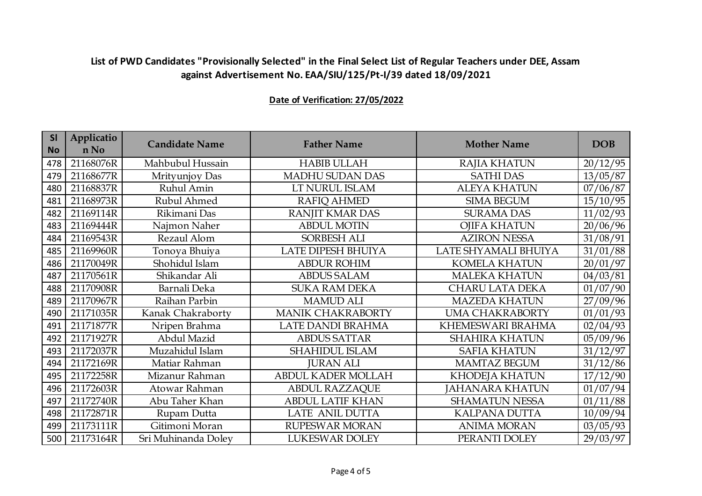| <b>SI</b><br><b>No</b> | Applicatio<br>n No | <b>Candidate Name</b> | <b>Father Name</b>        | <b>Mother Name</b>     | <b>DOB</b> |
|------------------------|--------------------|-----------------------|---------------------------|------------------------|------------|
| 478                    | 21168076R          | Mahbubul Hussain      | <b>HABIB ULLAH</b>        | <b>RAJIA KHATUN</b>    | 20/12/95   |
| 479                    | 21168677R          | Mrityunjoy Das        | MADHU SUDAN DAS           | <b>SATHI DAS</b>       | 13/05/87   |
| 480                    | 21168837R          | Ruhul Amin            | LT NURUL ISLAM            | <b>ALEYA KHATUN</b>    | 07/06/87   |
| 481                    | 21168973R          | Rubul Ahmed           | <b>RAFIQ AHMED</b>        | <b>SIMA BEGUM</b>      | 15/10/95   |
| 482                    | 21169114R          | Rikimani Das          | RANJIT KMAR DAS           | <b>SURAMA DAS</b>      | 11/02/93   |
| 483                    | 21169444R          | Najmon Naher          | <b>ABDUL MOTIN</b>        | <b>OJIFA KHATUN</b>    | 20/06/96   |
| 484                    | 21169543R          | Rezaul Alom           | SORBESH ALI               | <b>AZIRON NESSA</b>    | 31/08/91   |
| 485                    | 21169960R          | Tonoya Bhuiya         | LATE DIPESH BHUIYA        | LATE SHYAMALI BHUIYA   | 31/01/88   |
| 486                    | 21170049R          | Shohidul Islam        | <b>ABDUR ROHIM</b>        | <b>KOMELA KHATUN</b>   | 20/01/97   |
| 487                    | 21170561R          | Shikandar Ali         | <b>ABDUS SALAM</b>        | <b>MALEKA KHATUN</b>   | 04/03/81   |
| 488                    | 21170908R          | Barnali Deka          | <b>SUKA RAM DEKA</b>      | <b>CHARU LATA DEKA</b> | 01/07/90   |
| 489                    | 21170967R          | Raihan Parbin         | <b>MAMUD ALI</b>          | <b>MAZEDA KHATUN</b>   | 27/09/96   |
| 490                    | 21171035R          | Kanak Chakraborty     | <b>MANIK CHAKRABORTY</b>  | <b>UMA CHAKRABORTY</b> | 01/01/93   |
| 491                    | 21171877R          | Nripen Brahma         | LATE DANDI BRAHMA         | KHEMESWARI BRAHMA      | 02/04/93   |
| 492                    | 21171927R          | Abdul Mazid           | <b>ABDUS SATTAR</b>       | <b>SHAHIRA KHATUN</b>  | 05/09/96   |
| 493                    | 21172037R          | Muzahidul Islam       | <b>SHAHIDUL ISLAM</b>     | <b>SAFIA KHATUN</b>    | 31/12/97   |
| 494                    | 21172169R          | Matiar Rahman         | <b>JURAN ALI</b>          | <b>MAMTAZ BEGUM</b>    | 31/12/86   |
| 495                    | 21172258R          | Mizanur Rahman        | <b>ABDUL KADER MOLLAH</b> | <b>KHODEJA KHATUN</b>  | 17/12/90   |
| 496                    | 21172603R          | Atowar Rahman         | <b>ABDUL RAZZAQUE</b>     | <b>JAHANARA KHATUN</b> | 01/07/94   |
| 497                    | 21172740R          | Abu Taher Khan        | <b>ABDUL LATIF KHAN</b>   | <b>SHAMATUN NESSA</b>  | 01/11/88   |
| 498                    | 21172871R          | Rupam Dutta           | LATE ANIL DUTTA           | <b>KALPANA DUTTA</b>   | 10/09/94   |
| 499                    | 21173111R          | Gitimoni Moran        | RUPESWAR MORAN            | <b>ANIMA MORAN</b>     | 03/05/93   |
| 500                    | 21173164R          | Sri Muhinanda Doley   | <b>LUKESWAR DOLEY</b>     | PERANTI DOLEY          | 29/03/97   |